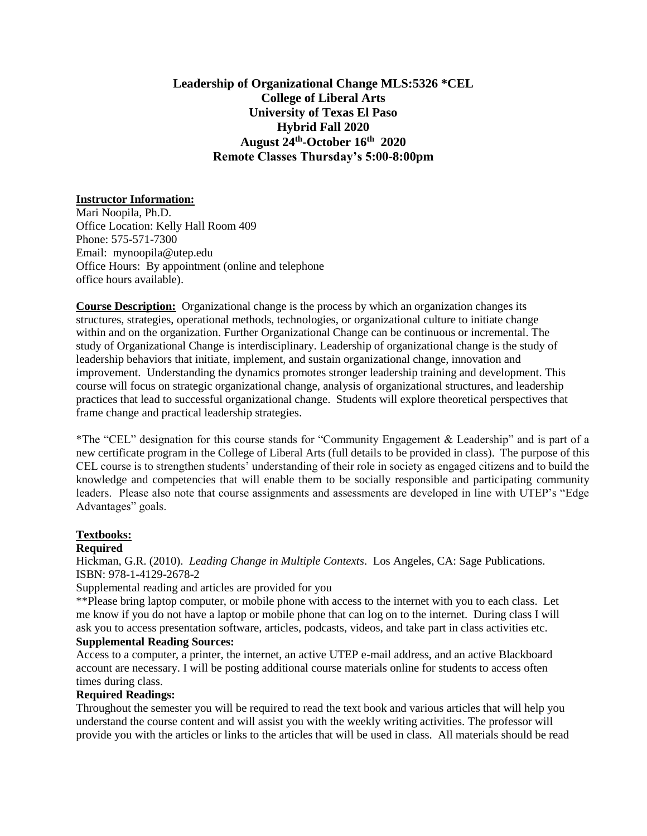# **Leadership of Organizational Change MLS:5326 \*CEL College of Liberal Arts University of Texas El Paso Hybrid Fall 2020 August 24th -October 16th 2020 Remote Classes Thursday's 5:00-8:00pm**

## **Instructor Information:**

Mari Noopila, Ph.D. Office Location: Kelly Hall Room 409 Phone: 575-571-7300 Email: mynoopila@utep.edu Office Hours: By appointment (online and telephone office hours available).

**Course Description:** Organizational change is the process by which an organization changes its structures, strategies, operational methods, technologies, or organizational culture to initiate change within and on the organization. Further Organizational Change can be continuous or incremental. The study of Organizational Change is interdisciplinary. Leadership of organizational change is the study of leadership behaviors that initiate, implement, and sustain organizational change, innovation and improvement. Understanding the dynamics promotes stronger leadership training and development. This course will focus on strategic organizational change, analysis of organizational structures, and leadership practices that lead to successful organizational change. Students will explore theoretical perspectives that frame change and practical leadership strategies.

\*The "CEL" designation for this course stands for "Community Engagement & Leadership" and is part of a new certificate program in the College of Liberal Arts (full details to be provided in class). The purpose of this CEL course is to strengthen students' understanding of their role in society as engaged citizens and to build the knowledge and competencies that will enable them to be socially responsible and participating community leaders. Please also note that course assignments and assessments are developed in line with UTEP's "Edge Advantages" goals.

## **Textbooks:**

## **Required**

Hickman, G.R. (2010). *Leading Change in Multiple Contexts*. Los Angeles, CA: Sage Publications. ISBN: 978-1-4129-2678-2

Supplemental reading and articles are provided for you

\*\*Please bring laptop computer, or mobile phone with access to the internet with you to each class. Let me know if you do not have a laptop or mobile phone that can log on to the internet. During class I will ask you to access presentation software, articles, podcasts, videos, and take part in class activities etc. **Supplemental Reading Sources:**

Access to a computer, a printer, the internet, an active UTEP e-mail address, and an active Blackboard account are necessary. I will be posting additional course materials online for students to access often times during class.

## **Required Readings:**

Throughout the semester you will be required to read the text book and various articles that will help you understand the course content and will assist you with the weekly writing activities. The professor will provide you with the articles or links to the articles that will be used in class. All materials should be read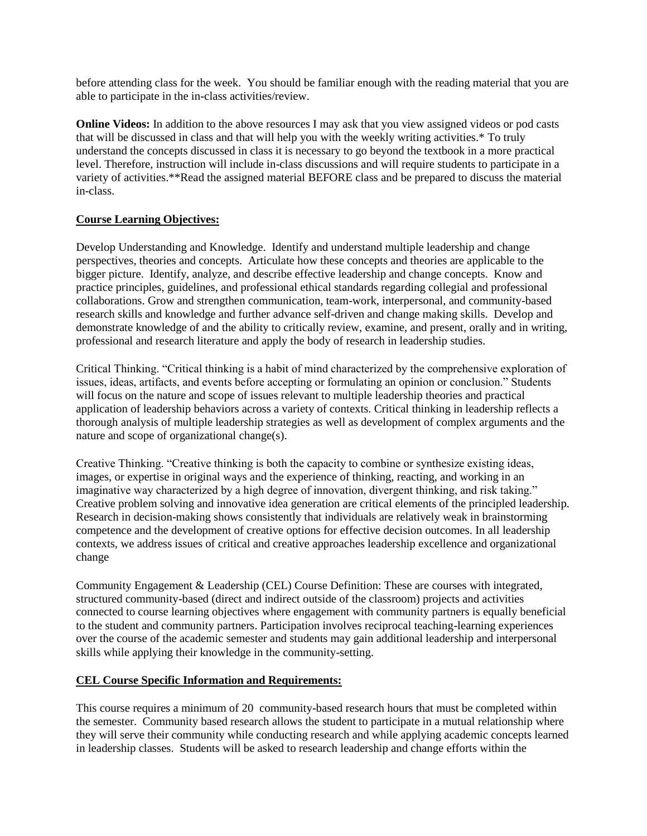before attending class for the week. You should be familiar enough with the reading material that you are able to participate in the in-class activities/review.

**Online Videos:** In addition to the above resources I may ask that you view assigned videos or pod casts that will be discussed in class and that will help you with the weekly writing activities.\* To truly understand the concepts discussed in class it is necessary to go beyond the textbook in a more practical level. Therefore, instruction will include in-class discussions and will require students to participate in a variety of activities.\*\*Read the assigned material BEFORE class and be prepared to discuss the material in-class.

## **Course Learning Objectives:**

Develop Understanding and Knowledge. Identify and understand multiple leadership and change perspectives, theories and concepts. Articulate how these concepts and theories are applicable to the bigger picture. Identify, analyze, and describe effective leadership and change concepts. Know and practice principles, guidelines, and professional ethical standards regarding collegial and professional collaborations. Grow and strengthen communication, team-work, interpersonal, and community-based research skills and knowledge and further advance self-driven and change making skills. Develop and demonstrate knowledge of and the ability to critically review, examine, and present, orally and in writing, professional and research literature and apply the body of research in leadership studies.

Critical Thinking. "Critical thinking is a habit of mind characterized by the comprehensive exploration of issues, ideas, artifacts, and events before accepting or formulating an opinion or conclusion." Students will focus on the nature and scope of issues relevant to multiple leadership theories and practical application of leadership behaviors across a variety of contexts. Critical thinking in leadership reflects a thorough analysis of multiple leadership strategies as well as development of complex arguments and the nature and scope of organizational change(s).

Creative Thinking. "Creative thinking is both the capacity to combine or synthesize existing ideas, images, or expertise in original ways and the experience of thinking, reacting, and working in an imaginative way characterized by a high degree of innovation, divergent thinking, and risk taking." Creative problem solving and innovative idea generation are critical elements of the principled leadership. Research in decision-making shows consistently that individuals are relatively weak in brainstorming competence and the development of creative options for effective decision outcomes. In all leadership contexts, we address issues of critical and creative approaches leadership excellence and organizational change

Community Engagement & Leadership (CEL) Course Definition: These are courses with integrated, structured community-based (direct and indirect outside of the classroom) projects and activities connected to course learning objectives where engagement with community partners is equally beneficial to the student and community partners. Participation involves reciprocal teaching-learning experiences over the course of the academic semester and students may gain additional leadership and interpersonal skills while applying their knowledge in the community-setting.

## **CEL Course Specific Information and Requirements:**

This course requires a minimum of 20 community-based research hours that must be completed within the semester. Community based research allows the student to participate in a mutual relationship where they will serve their community while conducting research and while applying academic concepts learned in leadership classes. Students will be asked to research leadership and change efforts within the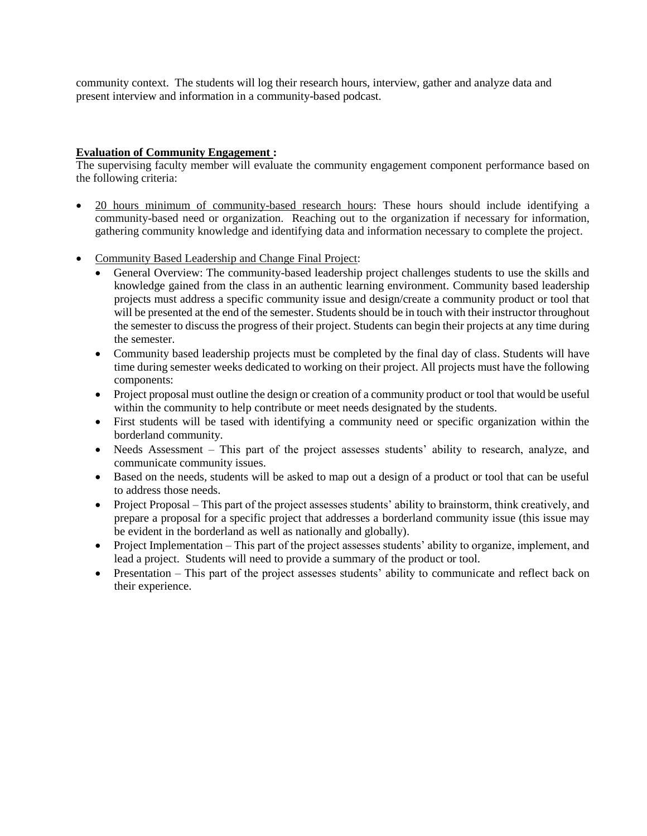community context. The students will log their research hours, interview, gather and analyze data and present interview and information in a community-based podcast.

## **Evaluation of Community Engagement :**

The supervising faculty member will evaluate the community engagement component performance based on the following criteria:

- 20 hours minimum of community-based research hours: These hours should include identifying a community-based need or organization. Reaching out to the organization if necessary for information, gathering community knowledge and identifying data and information necessary to complete the project.
- Community Based Leadership and Change Final Project:
	- General Overview: The community-based leadership project challenges students to use the skills and knowledge gained from the class in an authentic learning environment. Community based leadership projects must address a specific community issue and design/create a community product or tool that will be presented at the end of the semester. Students should be in touch with their instructor throughout the semester to discuss the progress of their project. Students can begin their projects at any time during the semester.
	- Community based leadership projects must be completed by the final day of class. Students will have time during semester weeks dedicated to working on their project. All projects must have the following components:
	- Project proposal must outline the design or creation of a community product or tool that would be useful within the community to help contribute or meet needs designated by the students.
	- First students will be tased with identifying a community need or specific organization within the borderland community.
	- Needs Assessment This part of the project assesses students' ability to research, analyze, and communicate community issues.
	- Based on the needs, students will be asked to map out a design of a product or tool that can be useful to address those needs.
	- Project Proposal This part of the project assesses students' ability to brainstorm, think creatively, and prepare a proposal for a specific project that addresses a borderland community issue (this issue may be evident in the borderland as well as nationally and globally).
	- Project Implementation This part of the project assesses students' ability to organize, implement, and lead a project. Students will need to provide a summary of the product or tool.
	- Presentation This part of the project assesses students' ability to communicate and reflect back on their experience.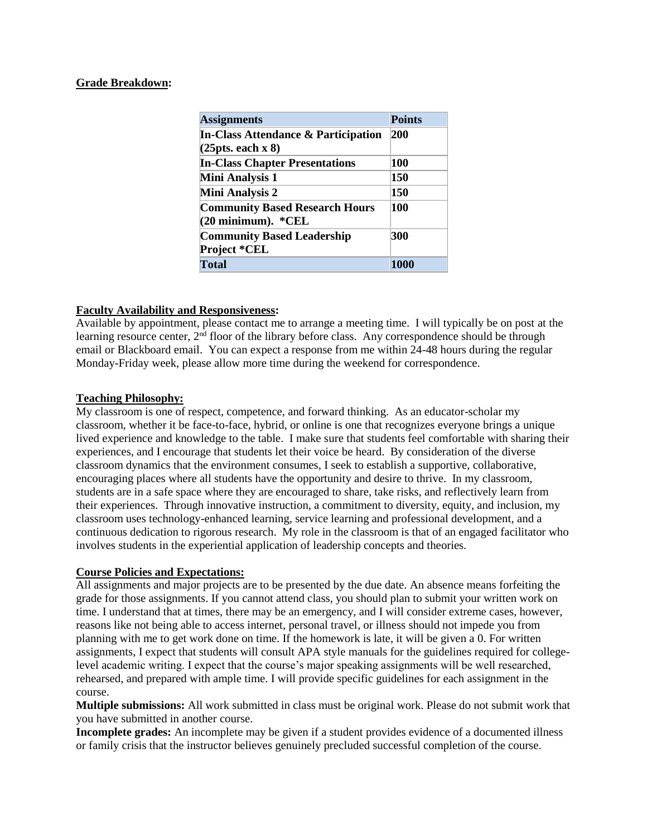#### **Grade Breakdown:**

| <b>Assignments</b>                                                  | <b>Points</b> |
|---------------------------------------------------------------------|---------------|
| <b>In-Class Attendance &amp; Participation</b><br>(25pts. each x 8) | 200           |
| <b>In-Class Chapter Presentations</b>                               | 100           |
| <b>Mini Analysis 1</b>                                              | 150           |
| Mini Analysis 2                                                     | 150           |
| <b>Community Based Research Hours</b><br>$(20$ minimum). $*CELL$    | 100           |
| <b>Community Based Leadership</b><br>Project *CEL                   | 300           |
| <b>Total</b>                                                        | 1000          |

## **Faculty Availability and Responsiveness:**

Available by appointment, please contact me to arrange a meeting time. I will typically be on post at the learning resource center, 2<sup>nd</sup> floor of the library before class. Any correspondence should be through email or Blackboard email. You can expect a response from me within 24-48 hours during the regular Monday-Friday week, please allow more time during the weekend for correspondence.

## **Teaching Philosophy:**

My classroom is one of respect, competence, and forward thinking. As an educator-scholar my classroom, whether it be face-to-face, hybrid, or online is one that recognizes everyone brings a unique lived experience and knowledge to the table. I make sure that students feel comfortable with sharing their experiences, and I encourage that students let their voice be heard. By consideration of the diverse classroom dynamics that the environment consumes, I seek to establish a supportive, collaborative, encouraging places where all students have the opportunity and desire to thrive. In my classroom, students are in a safe space where they are encouraged to share, take risks, and reflectively learn from their experiences. Through innovative instruction, a commitment to diversity, equity, and inclusion, my classroom uses technology-enhanced learning, service learning and professional development, and a continuous dedication to rigorous research. My role in the classroom is that of an engaged facilitator who involves students in the experiential application of leadership concepts and theories.

## **Course Policies and Expectations:**

All assignments and major projects are to be presented by the due date. An absence means forfeiting the grade for those assignments. If you cannot attend class, you should plan to submit your written work on time. I understand that at times, there may be an emergency, and I will consider extreme cases, however, reasons like not being able to access internet, personal travel, or illness should not impede you from planning with me to get work done on time. If the homework is late, it will be given a 0. For written assignments, I expect that students will consult APA style manuals for the guidelines required for collegelevel academic writing. I expect that the course's major speaking assignments will be well researched, rehearsed, and prepared with ample time. I will provide specific guidelines for each assignment in the course.

**Multiple submissions:** All work submitted in class must be original work. Please do not submit work that you have submitted in another course.

**Incomplete grades:** An incomplete may be given if a student provides evidence of a documented illness or family crisis that the instructor believes genuinely precluded successful completion of the course.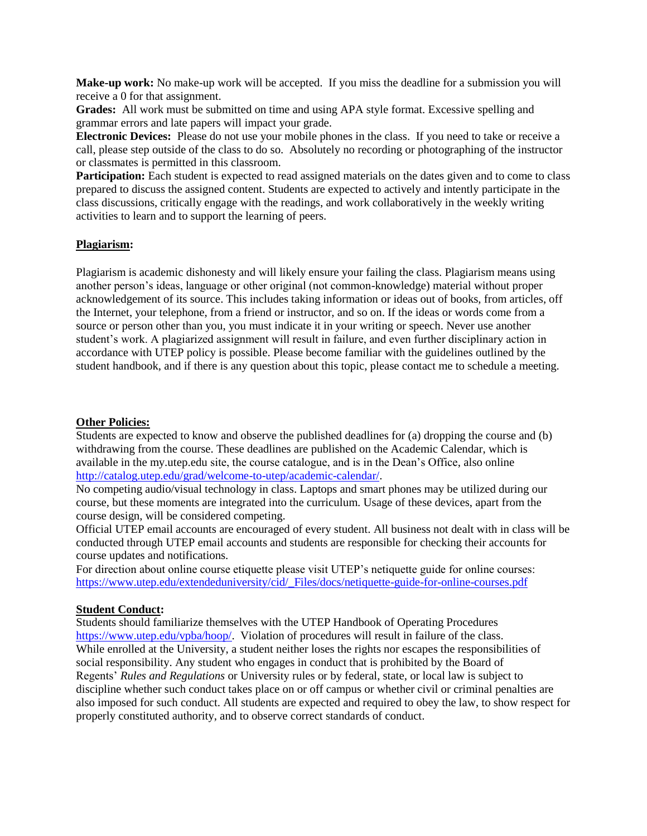**Make-up work:** No make-up work will be accepted. If you miss the deadline for a submission you will receive a 0 for that assignment.

**Grades:** All work must be submitted on time and using APA style format. Excessive spelling and grammar errors and late papers will impact your grade.

**Electronic Devices:** Please do not use your mobile phones in the class. If you need to take or receive a call, please step outside of the class to do so. Absolutely no recording or photographing of the instructor or classmates is permitted in this classroom.

**Participation:** Each student is expected to read assigned materials on the dates given and to come to class prepared to discuss the assigned content. Students are expected to actively and intently participate in the class discussions, critically engage with the readings, and work collaboratively in the weekly writing activities to learn and to support the learning of peers.

#### **Plagiarism:**

Plagiarism is academic dishonesty and will likely ensure your failing the class. Plagiarism means using another person's ideas, language or other original (not common-knowledge) material without proper acknowledgement of its source. This includes taking information or ideas out of books, from articles, off the Internet, your telephone, from a friend or instructor, and so on. If the ideas or words come from a source or person other than you, you must indicate it in your writing or speech. Never use another student's work. A plagiarized assignment will result in failure, and even further disciplinary action in accordance with UTEP policy is possible. Please become familiar with the guidelines outlined by the student handbook, and if there is any question about this topic, please contact me to schedule a meeting.

#### **Other Policies:**

Students are expected to know and observe the published deadlines for (a) dropping the course and (b) withdrawing from the course. These deadlines are published on the Academic Calendar, which is available in the my.utep.edu site, the course catalogue, and is in the Dean's Office, also online [http://catalog.utep.edu/grad/welcome-to-utep/academic-calendar/.](http://catalog.utep.edu/grad/welcome-to-utep/academic-calendar/)

No competing audio/visual technology in class. Laptops and smart phones may be utilized during our course, but these moments are integrated into the curriculum. Usage of these devices, apart from the course design, will be considered competing.

Official UTEP email accounts are encouraged of every student. All business not dealt with in class will be conducted through UTEP email accounts and students are responsible for checking their accounts for course updates and notifications.

For direction about online course etiquette please visit UTEP's netiquette guide for online courses: [https://www.utep.edu/extendeduniversity/cid/\\_Files/docs/netiquette-guide-for-online-courses.pdf](https://www.utep.edu/extendeduniversity/cid/_Files/docs/netiquette-guide-for-online-courses.pdf)

## **Student Conduct:**

Students should familiarize themselves with the UTEP Handbook of Operating Procedures [https://www.utep.edu/vpba/hoop/.](https://www.utep.edu/vpba/hoop/) Violation of procedures will result in failure of the class. While enrolled at the University, a student neither loses the rights nor escapes the responsibilities of social responsibility. Any student who engages in conduct that is prohibited by the Board of Regents' *Rules and Regulations* or University rules or by federal, state, or local law is subject to discipline whether such conduct takes place on or off campus or whether civil or criminal penalties are also imposed for such conduct. All students are expected and required to obey the law, to show respect for properly constituted authority, and to observe correct standards of conduct.